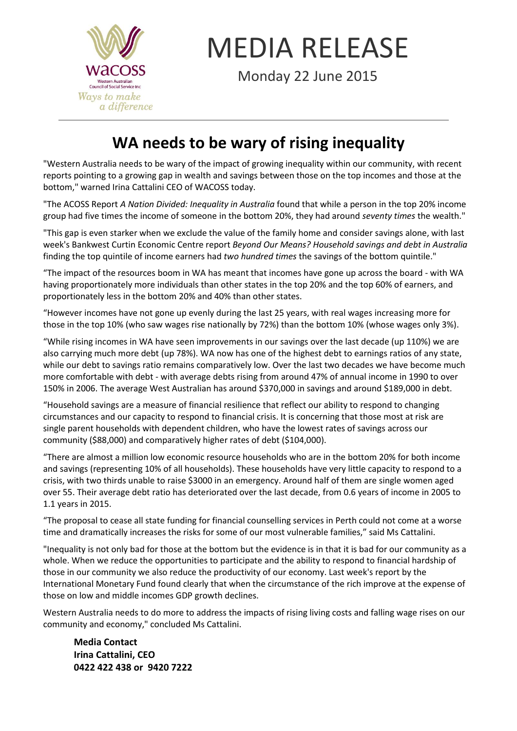

## MEDIA RELEASE

Monday 22 June 2015

## **WA needs to be wary of rising inequality**

"Western Australia needs to be wary of the impact of growing inequality within our community, with recent reports pointing to a growing gap in wealth and savings between those on the top incomes and those at the bottom," warned Irina Cattalini CEO of WACOSS today.

"The ACOSS Report *A Nation Divided: Inequality in Australia* found that while a person in the top 20% income group had five times the income of someone in the bottom 20%, they had around *seventy times* the wealth."

"This gap is even starker when we exclude the value of the family home and consider savings alone, with last week's Bankwest Curtin Economic Centre report *Beyond Our Means? Household savings and debt in Australia* finding the top quintile of income earners had *two hundred times* the savings of the bottom quintile."

"The impact of the resources boom in WA has meant that incomes have gone up across the board - with WA having proportionately more individuals than other states in the top 20% and the top 60% of earners, and proportionately less in the bottom 20% and 40% than other states.

"However incomes have not gone up evenly during the last 25 years, with real wages increasing more for those in the top 10% (who saw wages rise nationally by 72%) than the bottom 10% (whose wages only 3%).

"While rising incomes in WA have seen improvements in our savings over the last decade (up 110%) we are also carrying much more debt (up 78%). WA now has one of the highest debt to earnings ratios of any state, while our debt to savings ratio remains comparatively low. Over the last two decades we have become much more comfortable with debt - with average debts rising from around 47% of annual income in 1990 to over 150% in 2006. The average West Australian has around \$370,000 in savings and around \$189,000 in debt.

"Household savings are a measure of financial resilience that reflect our ability to respond to changing circumstances and our capacity to respond to financial crisis. It is concerning that those most at risk are single parent households with dependent children, who have the lowest rates of savings across our community (\$88,000) and comparatively higher rates of debt (\$104,000).

"There are almost a million low economic resource households who are in the bottom 20% for both income and savings (representing 10% of all households). These households have very little capacity to respond to a crisis, with two thirds unable to raise \$3000 in an emergency. Around half of them are single women aged over 55. Their average debt ratio has deteriorated over the last decade, from 0.6 years of income in 2005 to 1.1 years in 2015.

"The proposal to cease all state funding for financial counselling services in Perth could not come at a worse time and dramatically increases the risks for some of our most vulnerable families," said Ms Cattalini.

"Inequality is not only bad for those at the bottom but the evidence is in that it is bad for our community as a whole. When we reduce the opportunities to participate and the ability to respond to financial hardship of those in our community we also reduce the productivity of our economy. Last week's report by the International Monetary Fund found clearly that when the circumstance of the rich improve at the expense of those on low and middle incomes GDP growth declines.

Western Australia needs to do more to address the impacts of rising living costs and falling wage rises on our community and economy," concluded Ms Cattalini.

**Media Contact Irina Cattalini, CEO 0422 422 438 or 9420 7222**